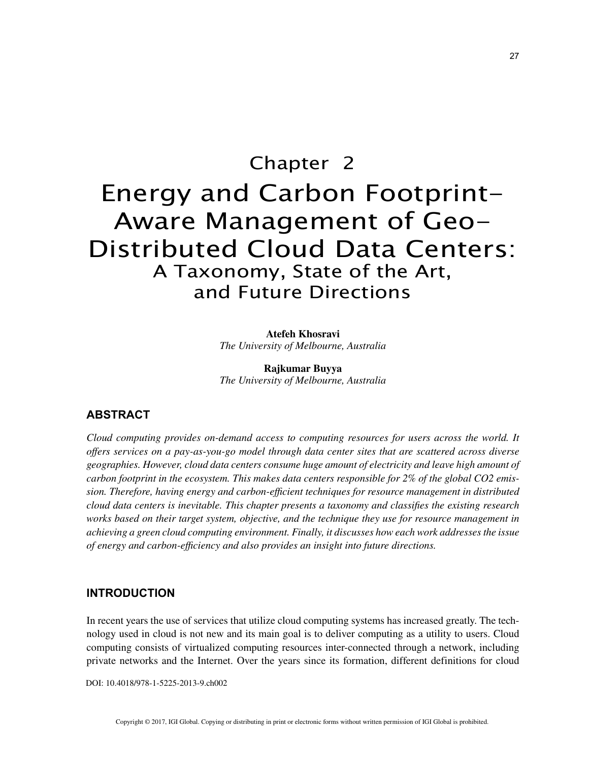# Chapter 2 Energy and Carbon Footprint-Aware Management of Geo-Distributed Cloud Data Centers: A Taxonomy, State of the Art, and Future Directions

**Atefeh Khosravi** *The University of Melbourne, Australia*

**Rajkumar Buyya** *The University of Melbourne, Australia*

# **ABSTRACT**

*Cloud computing provides on-demand access to computing resources for users across the world. It offers services on a pay-as-you-go model through data center sites that are scattered across diverse geographies. However, cloud data centers consume huge amount of electricity and leave high amount of carbon footprint in the ecosystem. This makes data centers responsible for 2% of the global CO2 emission. Therefore, having energy and carbon-efficient techniques for resource management in distributed cloud data centers is inevitable. This chapter presents a taxonomy and classifies the existing research works based on their target system, objective, and the technique they use for resource management in achieving a green cloud computing environment. Finally, it discusses how each work addresses the issue of energy and carbon-efficiency and also provides an insight into future directions.*

# **INTRODUCTION**

In recent years the use of services that utilize cloud computing systems has increased greatly. The technology used in cloud is not new and its main goal is to deliver computing as a utility to users. Cloud computing consists of virtualized computing resources inter-connected through a network, including private networks and the Internet. Over the years since its formation, different definitions for cloud

DOI: 10.4018/978-1-5225-2013-9.ch002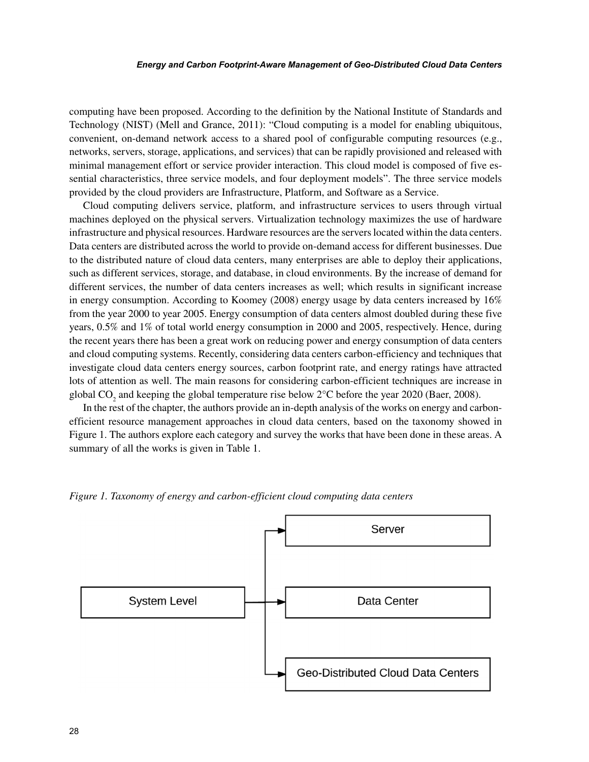computing have been proposed. According to the definition by the National Institute of Standards and Technology (NIST) (Mell and Grance, 2011): "Cloud computing is a model for enabling ubiquitous, convenient, on-demand network access to a shared pool of configurable computing resources (e.g., networks, servers, storage, applications, and services) that can be rapidly provisioned and released with minimal management effort or service provider interaction. This cloud model is composed of five essential characteristics, three service models, and four deployment models". The three service models provided by the cloud providers are Infrastructure, Platform, and Software as a Service.

Cloud computing delivers service, platform, and infrastructure services to users through virtual machines deployed on the physical servers. Virtualization technology maximizes the use of hardware infrastructure and physical resources. Hardware resources are the servers located within the data centers. Data centers are distributed across the world to provide on-demand access for different businesses. Due to the distributed nature of cloud data centers, many enterprises are able to deploy their applications, such as different services, storage, and database, in cloud environments. By the increase of demand for different services, the number of data centers increases as well; which results in significant increase in energy consumption. According to Koomey (2008) energy usage by data centers increased by 16% from the year 2000 to year 2005. Energy consumption of data centers almost doubled during these five years, 0.5% and 1% of total world energy consumption in 2000 and 2005, respectively. Hence, during the recent years there has been a great work on reducing power and energy consumption of data centers and cloud computing systems. Recently, considering data centers carbon-efficiency and techniques that investigate cloud data centers energy sources, carbon footprint rate, and energy ratings have attracted lots of attention as well. The main reasons for considering carbon-efficient techniques are increase in global  $CO_2$  and keeping the global temperature rise below  $2^{\circ}C$  before the year 2020 (Baer, 2008).

In the rest of the chapter, the authors provide an in-depth analysis of the works on energy and carbonefficient resource management approaches in cloud data centers, based on the taxonomy showed in Figure 1. The authors explore each category and survey the works that have been done in these areas. A summary of all the works is given in Table 1.



*Figure 1. Taxonomy of energy and carbon-efficient cloud computing data centers*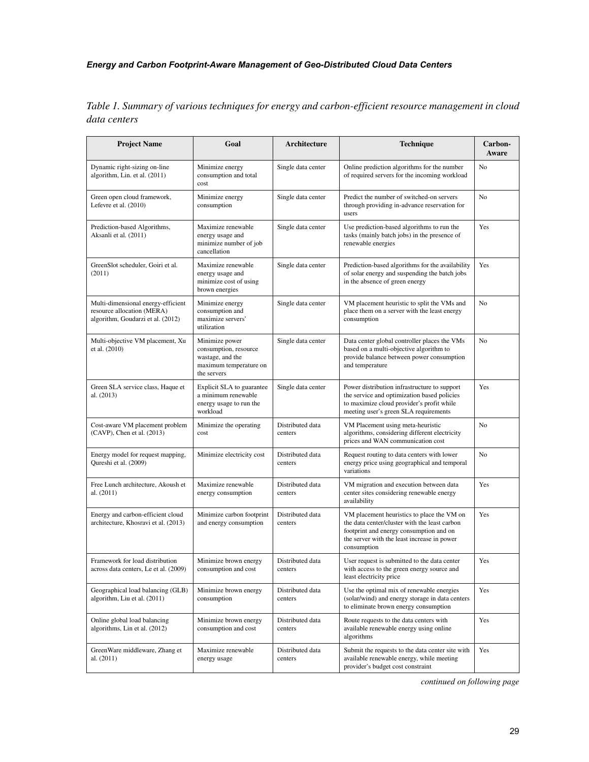*Table 1. Summary of various techniques for energy and carbon-efficient resource management in cloud data centers*

| <b>Project Name</b>                                                                                   | Goal                                                                                                 | Architecture                | <b>Technique</b>                                                                                                                                                                                     | Carbon-<br>Aware |
|-------------------------------------------------------------------------------------------------------|------------------------------------------------------------------------------------------------------|-----------------------------|------------------------------------------------------------------------------------------------------------------------------------------------------------------------------------------------------|------------------|
| Dynamic right-sizing on-line<br>algorithm, Lin. et al. (2011)                                         | Minimize energy<br>consumption and total<br>cost                                                     | Single data center          | Online prediction algorithms for the number<br>of required servers for the incoming workload                                                                                                         | No               |
| Green open cloud framework,<br>Lefevre et al. (2010)                                                  | Minimize energy<br>consumption                                                                       | Single data center          | Predict the number of switched-on servers<br>through providing in-advance reservation for<br>users                                                                                                   | No               |
| Prediction-based Algorithms,<br>Aksanli et al. (2011)                                                 | Maximize renewable<br>energy usage and<br>minimize number of job<br>cancellation                     | Single data center          | Use prediction-based algorithms to run the<br>tasks (mainly batch jobs) in the presence of<br>renewable energies                                                                                     | Yes              |
| GreenSlot scheduler, Goiri et al.<br>(2011)                                                           | Maximize renewable<br>energy usage and<br>minimize cost of using<br>brown energies                   | Single data center          | Prediction-based algorithms for the availability<br>of solar energy and suspending the batch jobs<br>in the absence of green energy                                                                  | Yes              |
| Multi-dimensional energy-efficient<br>resource allocation (MERA)<br>algorithm, Goudarzi et al. (2012) | Minimize energy<br>consumption and<br>maximize servers'<br>utilization                               | Single data center          | VM placement heuristic to split the VMs and<br>place them on a server with the least energy<br>consumption                                                                                           | No               |
| Multi-objective VM placement, Xu<br>et al. (2010)                                                     | Minimize power<br>consumption, resource<br>wastage, and the<br>maximum temperature on<br>the servers | Single data center          | Data center global controller places the VMs<br>based on a multi-objective algorithm to<br>provide balance between power consumption<br>and temperature                                              | No               |
| Green SLA service class, Haque et<br>al. (2013)                                                       | Explicit SLA to guarantee<br>a minimum renewable<br>energy usage to run the<br>workload              | Single data center          | Power distribution infrastructure to support<br>the service and optimization based policies<br>to maximize cloud provider's profit while<br>meeting user's green SLA requirements                    | Yes              |
| Cost-aware VM placement problem<br>(CAVP), Chen et al. (2013)                                         | Minimize the operating<br>cost                                                                       | Distributed data<br>centers | VM Placement using meta-heuristic<br>algorithms, considering different electricity<br>prices and WAN communication cost                                                                              | N <sub>0</sub>   |
| Energy model for request mapping,<br>Qureshi et al. (2009)                                            | Minimize electricity cost                                                                            | Distributed data<br>centers | Request routing to data centers with lower<br>energy price using geographical and temporal<br>variations                                                                                             | No               |
| Free Lunch architecture, Akoush et<br>al. (2011)                                                      | Maximize renewable<br>energy consumption                                                             | Distributed data<br>centers | VM migration and execution between data<br>center sites considering renewable energy<br>availability                                                                                                 | Yes              |
| Energy and carbon-efficient cloud<br>architecture, Khosravi et al. (2013)                             | Minimize carbon footprint<br>and energy consumption                                                  | Distributed data<br>centers | VM placement heuristics to place the VM on<br>the data center/cluster with the least carbon<br>footprint and energy consumption and on<br>the server with the least increase in power<br>consumption | Yes              |
| Framework for load distribution<br>across data centers, Le et al. (2009)                              | Minimize brown energy<br>consumption and cost                                                        | Distributed data<br>centers | User request is submitted to the data center<br>with access to the green energy source and<br>least electricity price                                                                                | Yes              |
| Geographical load balancing (GLB)<br>algorithm, Liu et al. (2011)                                     | Minimize brown energy<br>consumption                                                                 | Distributed data<br>centers | Use the optimal mix of renewable energies<br>(solar/wind) and energy storage in data centers<br>to eliminate brown energy consumption                                                                | Yes              |
| Online global load balancing<br>algorithms, Lin et al. (2012)                                         | Minimize brown energy<br>consumption and cost                                                        | Distributed data<br>centers | Route requests to the data centers with<br>available renewable energy using online<br>algorithms                                                                                                     | Yes              |
| GreenWare middleware, Zhang et<br>al. (2011)                                                          | Maximize renewable<br>energy usage                                                                   | Distributed data<br>centers | Submit the requests to the data center site with<br>available renewable energy, while meeting<br>provider's budget cost constraint                                                                   | Yes              |

*continued on following page*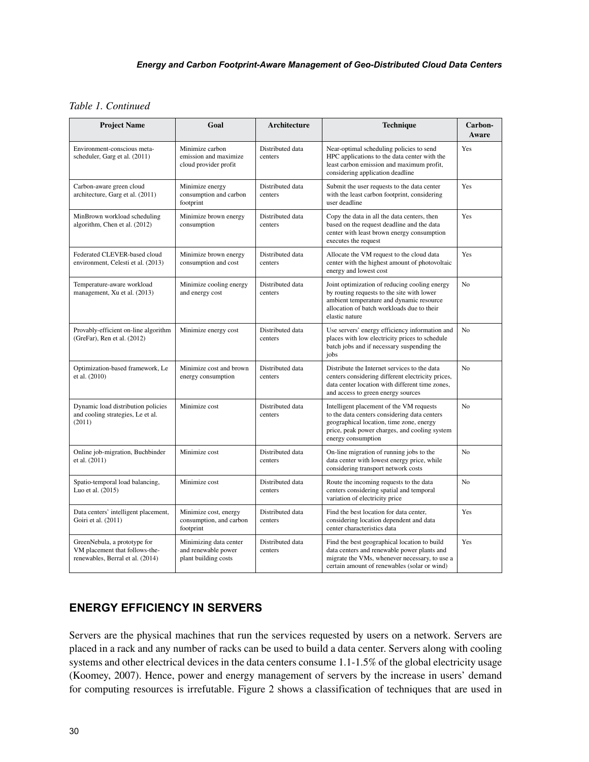## *Table 1. Continued*

| <b>Project Name</b>                                                                                | Goal                                                                  | Architecture                | <b>Technique</b>                                                                                                                                                                                            | Carbon-<br>Aware |
|----------------------------------------------------------------------------------------------------|-----------------------------------------------------------------------|-----------------------------|-------------------------------------------------------------------------------------------------------------------------------------------------------------------------------------------------------------|------------------|
| Environment-conscious meta-<br>scheduler, Garg et al. (2011)                                       | Minimize carbon<br>emission and maximize<br>cloud provider profit     | Distributed data<br>centers | Near-optimal scheduling policies to send<br>HPC applications to the data center with the<br>least carbon emission and maximum profit,<br>considering application deadline                                   | Yes              |
| Carbon-aware green cloud<br>architecture, Garg et al. (2011)                                       | Minimize energy<br>consumption and carbon<br>footprint                | Distributed data<br>centers | Submit the user requests to the data center<br>with the least carbon footprint, considering<br>user deadline                                                                                                | Yes              |
| MinBrown workload scheduling<br>algorithm, Chen et al. (2012)                                      | Minimize brown energy<br>consumption                                  | Distributed data<br>centers | Copy the data in all the data centers, then<br>based on the request deadline and the data<br>center with least brown energy consumption<br>executes the request                                             | Yes              |
| Federated CLEVER-based cloud<br>environment, Celesti et al. (2013)                                 | Minimize brown energy<br>consumption and cost                         | Distributed data<br>centers | Allocate the VM request to the cloud data<br>center with the highest amount of photovoltaic<br>energy and lowest cost                                                                                       | Yes              |
| Temperature-aware workload<br>management, Xu et al. (2013)                                         | Minimize cooling energy<br>and energy cost                            | Distributed data<br>centers | Joint optimization of reducing cooling energy<br>by routing requests to the site with lower<br>ambient temperature and dynamic resource<br>allocation of batch workloads due to their<br>elastic nature     | N <sub>0</sub>   |
| Provably-efficient on-line algorithm<br>(GreFar), Ren et al. (2012)                                | Minimize energy cost                                                  | Distributed data<br>centers | Use servers' energy efficiency information and<br>places with low electricity prices to schedule<br>batch jobs and if necessary suspending the<br>jobs                                                      | No               |
| Optimization-based framework, Le<br>et al. (2010)                                                  | Minimize cost and brown<br>energy consumption                         | Distributed data<br>centers | Distribute the Internet services to the data<br>centers considering different electricity prices,<br>data center location with different time zones,<br>and access to green energy sources                  | N <sub>o</sub>   |
| Dynamic load distribution policies<br>and cooling strategies, Le et al.<br>(2011)                  | Minimize cost                                                         | Distributed data<br>centers | Intelligent placement of the VM requests<br>to the data centers considering data centers<br>geographical location, time zone, energy<br>price, peak power charges, and cooling system<br>energy consumption | N <sub>o</sub>   |
| Online job-migration, Buchbinder<br>et al. (2011)                                                  | Minimize cost                                                         | Distributed data<br>centers | On-line migration of running jobs to the<br>data center with lowest energy price, while<br>considering transport network costs                                                                              | N <sub>o</sub>   |
| Spatio-temporal load balancing,<br>Luo et al. (2015)                                               | Minimize cost                                                         | Distributed data<br>centers | Route the incoming requests to the data<br>centers considering spatial and temporal<br>variation of electricity price                                                                                       | No               |
| Data centers' intelligent placement,<br>Goiri et al. (2011)                                        | Minimize cost, energy<br>consumption, and carbon<br>footprint         | Distributed data<br>centers | Find the best location for data center,<br>considering location dependent and data<br>center characteristics data                                                                                           | Yes              |
| GreenNebula, a prototype for<br>VM placement that follows-the-<br>renewables, Berral et al. (2014) | Minimizing data center<br>and renewable power<br>plant building costs | Distributed data<br>centers | Find the best geographical location to build<br>data centers and renewable power plants and<br>migrate the VMs, whenever necessary, to use a<br>certain amount of renewables (solar or wind)                | Yes              |

# **ENERGY EFFICIENCY IN SERVERS**

Servers are the physical machines that run the services requested by users on a network. Servers are placed in a rack and any number of racks can be used to build a data center. Servers along with cooling systems and other electrical devices in the data centers consume 1.1-1.5% of the global electricity usage (Koomey, 2007). Hence, power and energy management of servers by the increase in users' demand for computing resources is irrefutable. Figure 2 shows a classification of techniques that are used in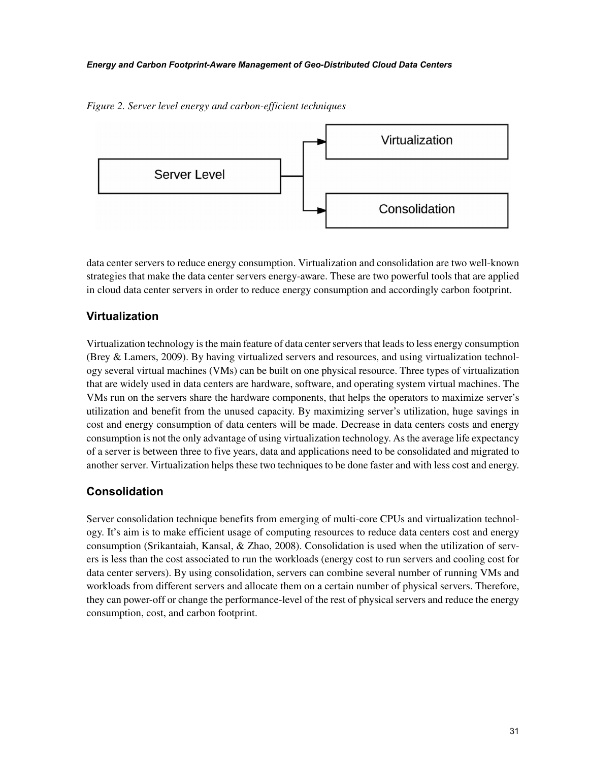

*Figure 2. Server level energy and carbon-efficient techniques*

data center servers to reduce energy consumption. Virtualization and consolidation are two well-known strategies that make the data center servers energy-aware. These are two powerful tools that are applied in cloud data center servers in order to reduce energy consumption and accordingly carbon footprint.

# **Virtualization**

Virtualization technology is the main feature of data center servers that leads to less energy consumption (Brey & Lamers, 2009). By having virtualized servers and resources, and using virtualization technology several virtual machines (VMs) can be built on one physical resource. Three types of virtualization that are widely used in data centers are hardware, software, and operating system virtual machines. The VMs run on the servers share the hardware components, that helps the operators to maximize server's utilization and benefit from the unused capacity. By maximizing server's utilization, huge savings in cost and energy consumption of data centers will be made. Decrease in data centers costs and energy consumption is not the only advantage of using virtualization technology. As the average life expectancy of a server is between three to five years, data and applications need to be consolidated and migrated to another server. Virtualization helps these two techniques to be done faster and with less cost and energy.

# **Consolidation**

Server consolidation technique benefits from emerging of multi-core CPUs and virtualization technology. It's aim is to make efficient usage of computing resources to reduce data centers cost and energy consumption (Srikantaiah, Kansal, & Zhao, 2008). Consolidation is used when the utilization of servers is less than the cost associated to run the workloads (energy cost to run servers and cooling cost for data center servers). By using consolidation, servers can combine several number of running VMs and workloads from different servers and allocate them on a certain number of physical servers. Therefore, they can power-off or change the performance-level of the rest of physical servers and reduce the energy consumption, cost, and carbon footprint.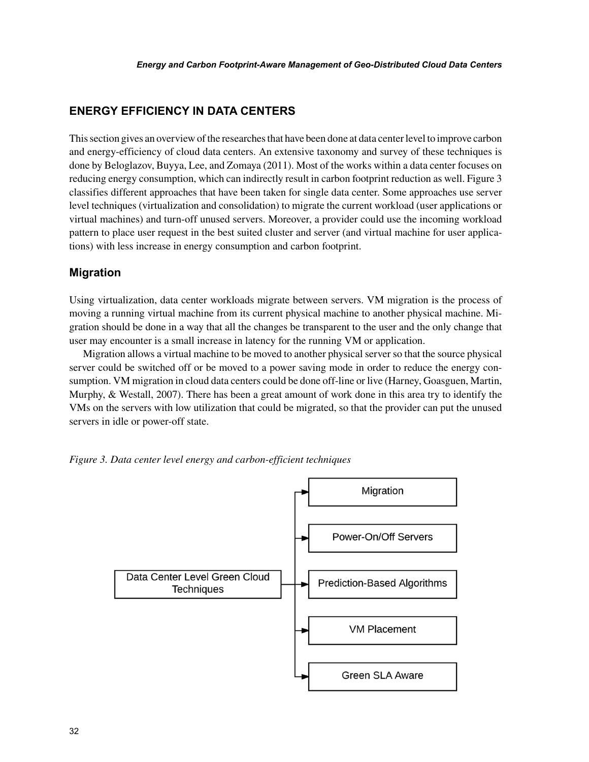# **ENERGY EFFICIENCY IN DATA CENTERS**

This section gives an overview of the researches that have been done at data center level to improve carbon and energy-efficiency of cloud data centers. An extensive taxonomy and survey of these techniques is done by Beloglazov, Buyya, Lee, and Zomaya (2011). Most of the works within a data center focuses on reducing energy consumption, which can indirectly result in carbon footprint reduction as well. Figure 3 classifies different approaches that have been taken for single data center. Some approaches use server level techniques (virtualization and consolidation) to migrate the current workload (user applications or virtual machines) and turn-off unused servers. Moreover, a provider could use the incoming workload pattern to place user request in the best suited cluster and server (and virtual machine for user applications) with less increase in energy consumption and carbon footprint.

## **Migration**

Using virtualization, data center workloads migrate between servers. VM migration is the process of moving a running virtual machine from its current physical machine to another physical machine. Migration should be done in a way that all the changes be transparent to the user and the only change that user may encounter is a small increase in latency for the running VM or application.

Migration allows a virtual machine to be moved to another physical server so that the source physical server could be switched off or be moved to a power saving mode in order to reduce the energy consumption. VM migration in cloud data centers could be done off-line or live (Harney, Goasguen, Martin, Murphy, & Westall, 2007). There has been a great amount of work done in this area try to identify the VMs on the servers with low utilization that could be migrated, so that the provider can put the unused servers in idle or power-off state.



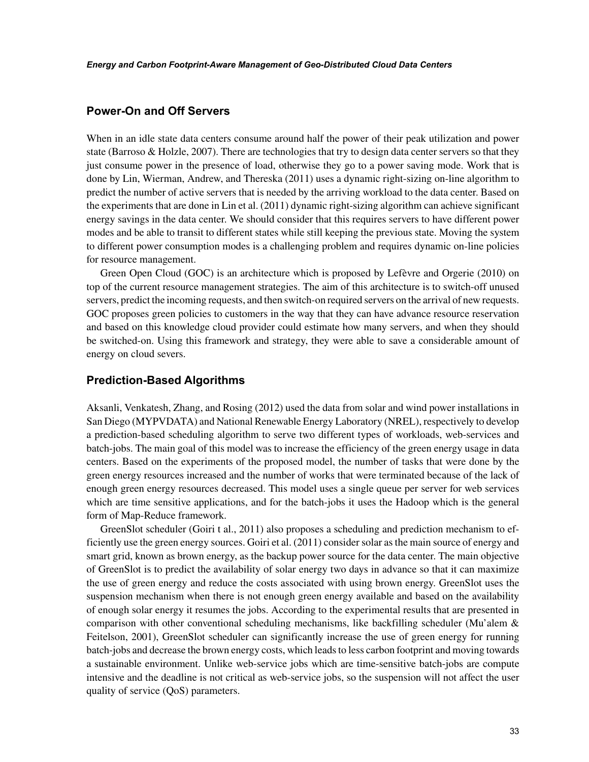# **Power-On and Off Servers**

When in an idle state data centers consume around half the power of their peak utilization and power state (Barroso & Holzle, 2007). There are technologies that try to design data center servers so that they just consume power in the presence of load, otherwise they go to a power saving mode. Work that is done by Lin, Wierman, Andrew, and Thereska (2011) uses a dynamic right-sizing on-line algorithm to predict the number of active servers that is needed by the arriving workload to the data center. Based on the experiments that are done in Lin et al. (2011) dynamic right-sizing algorithm can achieve significant energy savings in the data center. We should consider that this requires servers to have different power modes and be able to transit to different states while still keeping the previous state. Moving the system to different power consumption modes is a challenging problem and requires dynamic on-line policies for resource management.

Green Open Cloud (GOC) is an architecture which is proposed by Lefèvre and Orgerie (2010) on top of the current resource management strategies. The aim of this architecture is to switch-off unused servers, predict the incoming requests, and then switch-on required servers on the arrival of new requests. GOC proposes green policies to customers in the way that they can have advance resource reservation and based on this knowledge cloud provider could estimate how many servers, and when they should be switched-on. Using this framework and strategy, they were able to save a considerable amount of energy on cloud severs.

## **Prediction-Based Algorithms**

Aksanli, Venkatesh, Zhang, and Rosing (2012) used the data from solar and wind power installations in San Diego (MYPVDATA) and National Renewable Energy Laboratory (NREL), respectively to develop a prediction-based scheduling algorithm to serve two different types of workloads, web-services and batch-jobs. The main goal of this model was to increase the efficiency of the green energy usage in data centers. Based on the experiments of the proposed model, the number of tasks that were done by the green energy resources increased and the number of works that were terminated because of the lack of enough green energy resources decreased. This model uses a single queue per server for web services which are time sensitive applications, and for the batch-jobs it uses the Hadoop which is the general form of Map-Reduce framework.

GreenSlot scheduler (Goiri t al., 2011) also proposes a scheduling and prediction mechanism to efficiently use the green energy sources. Goiri et al. (2011) consider solar as the main source of energy and smart grid, known as brown energy, as the backup power source for the data center. The main objective of GreenSlot is to predict the availability of solar energy two days in advance so that it can maximize the use of green energy and reduce the costs associated with using brown energy. GreenSlot uses the suspension mechanism when there is not enough green energy available and based on the availability of enough solar energy it resumes the jobs. According to the experimental results that are presented in comparison with other conventional scheduling mechanisms, like backfilling scheduler (Mu'alem  $\&$ Feitelson, 2001), GreenSlot scheduler can significantly increase the use of green energy for running batch-jobs and decrease the brown energy costs, which leads to less carbon footprint and moving towards a sustainable environment. Unlike web-service jobs which are time-sensitive batch-jobs are compute intensive and the deadline is not critical as web-service jobs, so the suspension will not affect the user quality of service (QoS) parameters.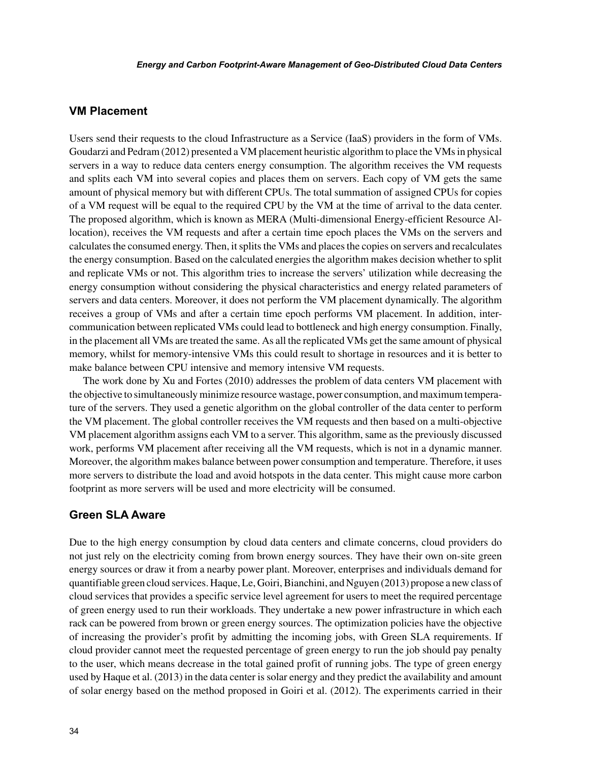# **VM Placement**

Users send their requests to the cloud Infrastructure as a Service (IaaS) providers in the form of VMs. Goudarzi and Pedram (2012) presented a VM placement heuristic algorithm to place the VMs in physical servers in a way to reduce data centers energy consumption. The algorithm receives the VM requests and splits each VM into several copies and places them on servers. Each copy of VM gets the same amount of physical memory but with different CPUs. The total summation of assigned CPUs for copies of a VM request will be equal to the required CPU by the VM at the time of arrival to the data center. The proposed algorithm, which is known as MERA (Multi-dimensional Energy-efficient Resource Allocation), receives the VM requests and after a certain time epoch places the VMs on the servers and calculates the consumed energy. Then, it splits the VMs and places the copies on servers and recalculates the energy consumption. Based on the calculated energies the algorithm makes decision whether to split and replicate VMs or not. This algorithm tries to increase the servers' utilization while decreasing the energy consumption without considering the physical characteristics and energy related parameters of servers and data centers. Moreover, it does not perform the VM placement dynamically. The algorithm receives a group of VMs and after a certain time epoch performs VM placement. In addition, intercommunication between replicated VMs could lead to bottleneck and high energy consumption. Finally, in the placement all VMs are treated the same. As all the replicated VMs get the same amount of physical memory, whilst for memory-intensive VMs this could result to shortage in resources and it is better to make balance between CPU intensive and memory intensive VM requests.

The work done by Xu and Fortes (2010) addresses the problem of data centers VM placement with the objective to simultaneously minimize resource wastage, power consumption, and maximum temperature of the servers. They used a genetic algorithm on the global controller of the data center to perform the VM placement. The global controller receives the VM requests and then based on a multi-objective VM placement algorithm assigns each VM to a server. This algorithm, same as the previously discussed work, performs VM placement after receiving all the VM requests, which is not in a dynamic manner. Moreover, the algorithm makes balance between power consumption and temperature. Therefore, it uses more servers to distribute the load and avoid hotspots in the data center. This might cause more carbon footprint as more servers will be used and more electricity will be consumed.

# **Green SLA Aware**

Due to the high energy consumption by cloud data centers and climate concerns, cloud providers do not just rely on the electricity coming from brown energy sources. They have their own on-site green energy sources or draw it from a nearby power plant. Moreover, enterprises and individuals demand for quantifiable green cloud services. Haque, Le, Goiri, Bianchini, and Nguyen (2013) propose a new class of cloud services that provides a specific service level agreement for users to meet the required percentage of green energy used to run their workloads. They undertake a new power infrastructure in which each rack can be powered from brown or green energy sources. The optimization policies have the objective of increasing the provider's profit by admitting the incoming jobs, with Green SLA requirements. If cloud provider cannot meet the requested percentage of green energy to run the job should pay penalty to the user, which means decrease in the total gained profit of running jobs. The type of green energy used by Haque et al. (2013) in the data center is solar energy and they predict the availability and amount of solar energy based on the method proposed in Goiri et al. (2012). The experiments carried in their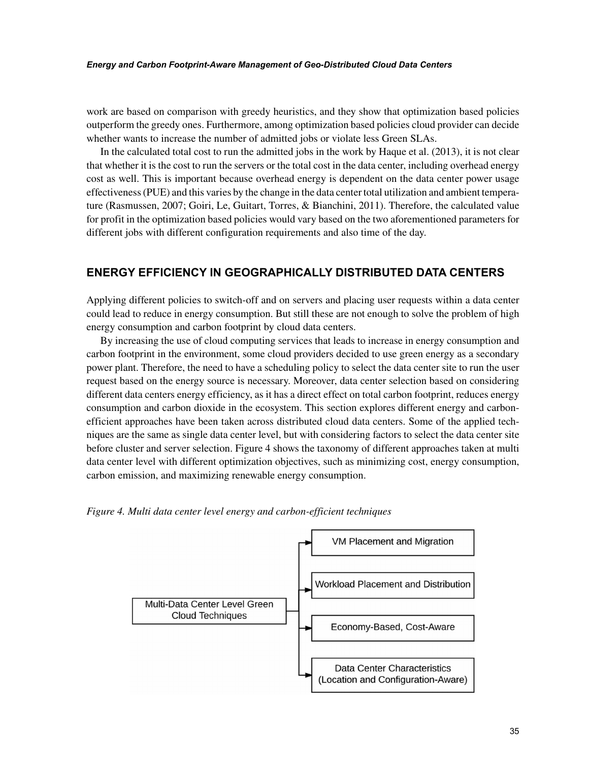work are based on comparison with greedy heuristics, and they show that optimization based policies outperform the greedy ones. Furthermore, among optimization based policies cloud provider can decide whether wants to increase the number of admitted jobs or violate less Green SLAs.

In the calculated total cost to run the admitted jobs in the work by Haque et al. (2013), it is not clear that whether it is the cost to run the servers or the total cost in the data center, including overhead energy cost as well. This is important because overhead energy is dependent on the data center power usage effectiveness (PUE) and this varies by the change in the data center total utilization and ambient temperature (Rasmussen, 2007; Goiri, Le, Guitart, Torres, & Bianchini, 2011). Therefore, the calculated value for profit in the optimization based policies would vary based on the two aforementioned parameters for different jobs with different configuration requirements and also time of the day.

## **ENERGY EFFICIENCY IN GEOGRAPHICALLY DISTRIBUTED DATA CENTERS**

Applying different policies to switch-off and on servers and placing user requests within a data center could lead to reduce in energy consumption. But still these are not enough to solve the problem of high energy consumption and carbon footprint by cloud data centers.

By increasing the use of cloud computing services that leads to increase in energy consumption and carbon footprint in the environment, some cloud providers decided to use green energy as a secondary power plant. Therefore, the need to have a scheduling policy to select the data center site to run the user request based on the energy source is necessary. Moreover, data center selection based on considering different data centers energy efficiency, as it has a direct effect on total carbon footprint, reduces energy consumption and carbon dioxide in the ecosystem. This section explores different energy and carbonefficient approaches have been taken across distributed cloud data centers. Some of the applied techniques are the same as single data center level, but with considering factors to select the data center site before cluster and server selection. Figure 4 shows the taxonomy of different approaches taken at multi data center level with different optimization objectives, such as minimizing cost, energy consumption, carbon emission, and maximizing renewable energy consumption.



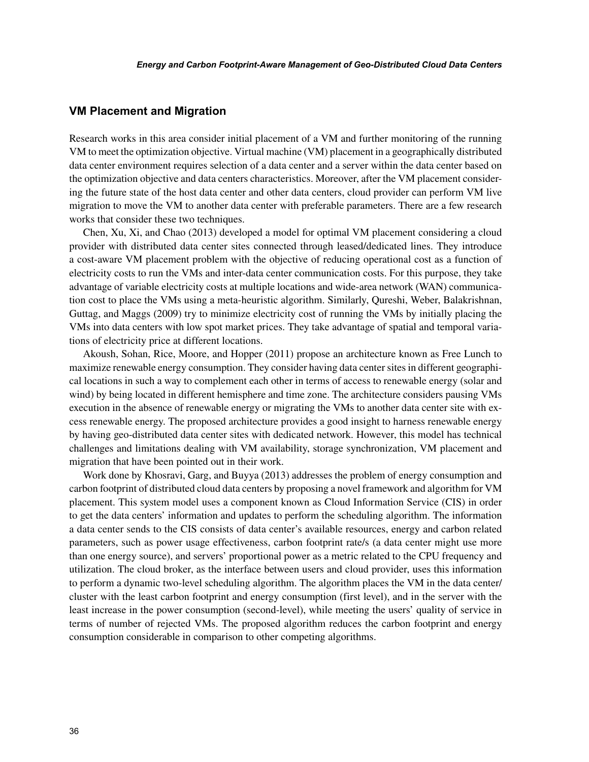# **VM Placement and Migration**

Research works in this area consider initial placement of a VM and further monitoring of the running VM to meet the optimization objective. Virtual machine (VM) placement in a geographically distributed data center environment requires selection of a data center and a server within the data center based on the optimization objective and data centers characteristics. Moreover, after the VM placement considering the future state of the host data center and other data centers, cloud provider can perform VM live migration to move the VM to another data center with preferable parameters. There are a few research works that consider these two techniques.

Chen, Xu, Xi, and Chao (2013) developed a model for optimal VM placement considering a cloud provider with distributed data center sites connected through leased/dedicated lines. They introduce a cost-aware VM placement problem with the objective of reducing operational cost as a function of electricity costs to run the VMs and inter-data center communication costs. For this purpose, they take advantage of variable electricity costs at multiple locations and wide-area network (WAN) communication cost to place the VMs using a meta-heuristic algorithm. Similarly, Qureshi, Weber, Balakrishnan, Guttag, and Maggs (2009) try to minimize electricity cost of running the VMs by initially placing the VMs into data centers with low spot market prices. They take advantage of spatial and temporal variations of electricity price at different locations.

Akoush, Sohan, Rice, Moore, and Hopper (2011) propose an architecture known as Free Lunch to maximize renewable energy consumption. They consider having data center sites in different geographical locations in such a way to complement each other in terms of access to renewable energy (solar and wind) by being located in different hemisphere and time zone. The architecture considers pausing VMs execution in the absence of renewable energy or migrating the VMs to another data center site with excess renewable energy. The proposed architecture provides a good insight to harness renewable energy by having geo-distributed data center sites with dedicated network. However, this model has technical challenges and limitations dealing with VM availability, storage synchronization, VM placement and migration that have been pointed out in their work.

Work done by Khosravi, Garg, and Buyya (2013) addresses the problem of energy consumption and carbon footprint of distributed cloud data centers by proposing a novel framework and algorithm for VM placement. This system model uses a component known as Cloud Information Service (CIS) in order to get the data centers' information and updates to perform the scheduling algorithm. The information a data center sends to the CIS consists of data center's available resources, energy and carbon related parameters, such as power usage effectiveness, carbon footprint rate/s (a data center might use more than one energy source), and servers' proportional power as a metric related to the CPU frequency and utilization. The cloud broker, as the interface between users and cloud provider, uses this information to perform a dynamic two-level scheduling algorithm. The algorithm places the VM in the data center/ cluster with the least carbon footprint and energy consumption (first level), and in the server with the least increase in the power consumption (second-level), while meeting the users' quality of service in terms of number of rejected VMs. The proposed algorithm reduces the carbon footprint and energy consumption considerable in comparison to other competing algorithms.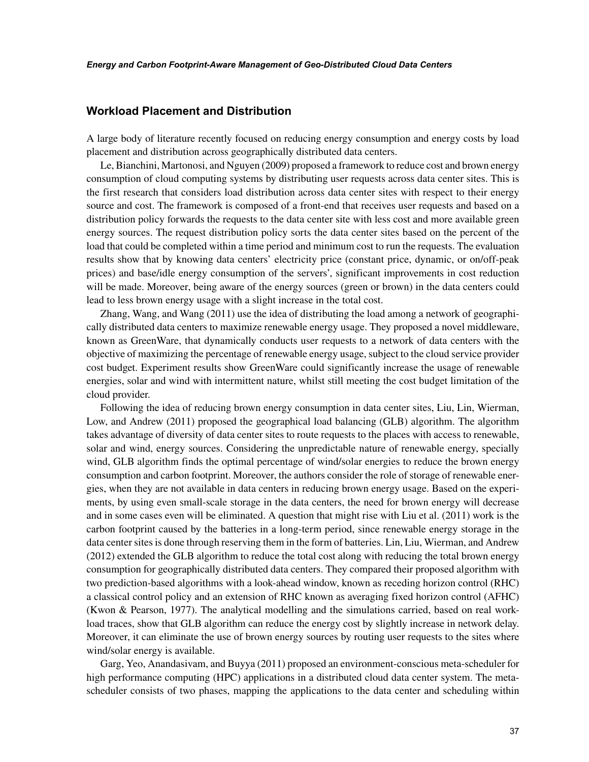# **Workload Placement and Distribution**

A large body of literature recently focused on reducing energy consumption and energy costs by load placement and distribution across geographically distributed data centers.

Le, Bianchini, Martonosi, and Nguyen (2009) proposed a framework to reduce cost and brown energy consumption of cloud computing systems by distributing user requests across data center sites. This is the first research that considers load distribution across data center sites with respect to their energy source and cost. The framework is composed of a front-end that receives user requests and based on a distribution policy forwards the requests to the data center site with less cost and more available green energy sources. The request distribution policy sorts the data center sites based on the percent of the load that could be completed within a time period and minimum cost to run the requests. The evaluation results show that by knowing data centers' electricity price (constant price, dynamic, or on/off-peak prices) and base/idle energy consumption of the servers', significant improvements in cost reduction will be made. Moreover, being aware of the energy sources (green or brown) in the data centers could lead to less brown energy usage with a slight increase in the total cost.

Zhang, Wang, and Wang (2011) use the idea of distributing the load among a network of geographically distributed data centers to maximize renewable energy usage. They proposed a novel middleware, known as GreenWare, that dynamically conducts user requests to a network of data centers with the objective of maximizing the percentage of renewable energy usage, subject to the cloud service provider cost budget. Experiment results show GreenWare could significantly increase the usage of renewable energies, solar and wind with intermittent nature, whilst still meeting the cost budget limitation of the cloud provider.

Following the idea of reducing brown energy consumption in data center sites, Liu, Lin, Wierman, Low, and Andrew (2011) proposed the geographical load balancing (GLB) algorithm. The algorithm takes advantage of diversity of data center sites to route requests to the places with access to renewable, solar and wind, energy sources. Considering the unpredictable nature of renewable energy, specially wind, GLB algorithm finds the optimal percentage of wind/solar energies to reduce the brown energy consumption and carbon footprint. Moreover, the authors consider the role of storage of renewable energies, when they are not available in data centers in reducing brown energy usage. Based on the experiments, by using even small-scale storage in the data centers, the need for brown energy will decrease and in some cases even will be eliminated. A question that might rise with Liu et al. (2011) work is the carbon footprint caused by the batteries in a long-term period, since renewable energy storage in the data center sites is done through reserving them in the form of batteries. Lin, Liu, Wierman, and Andrew (2012) extended the GLB algorithm to reduce the total cost along with reducing the total brown energy consumption for geographically distributed data centers. They compared their proposed algorithm with two prediction-based algorithms with a look-ahead window, known as receding horizon control (RHC) a classical control policy and an extension of RHC known as averaging fixed horizon control (AFHC) (Kwon & Pearson, 1977). The analytical modelling and the simulations carried, based on real workload traces, show that GLB algorithm can reduce the energy cost by slightly increase in network delay. Moreover, it can eliminate the use of brown energy sources by routing user requests to the sites where wind/solar energy is available.

Garg, Yeo, Anandasivam, and Buyya (2011) proposed an environment-conscious meta-scheduler for high performance computing (HPC) applications in a distributed cloud data center system. The metascheduler consists of two phases, mapping the applications to the data center and scheduling within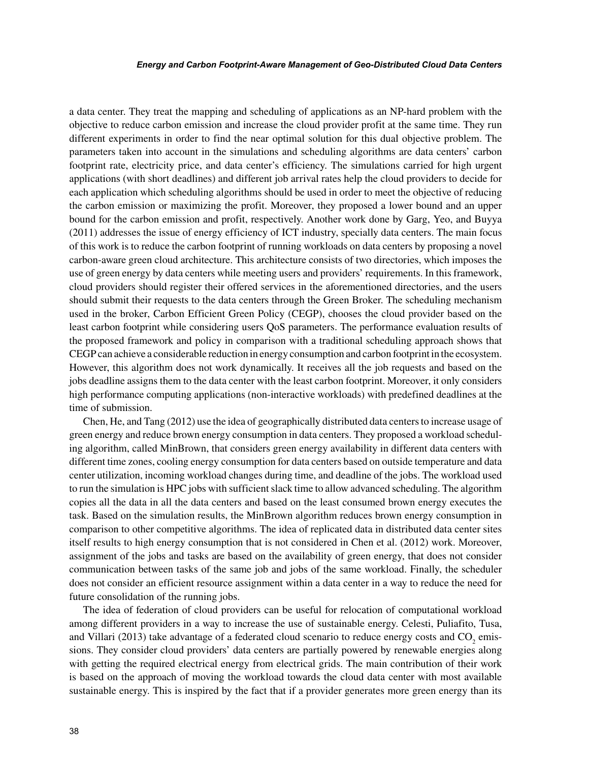a data center. They treat the mapping and scheduling of applications as an NP-hard problem with the objective to reduce carbon emission and increase the cloud provider profit at the same time. They run different experiments in order to find the near optimal solution for this dual objective problem. The parameters taken into account in the simulations and scheduling algorithms are data centers' carbon footprint rate, electricity price, and data center's efficiency. The simulations carried for high urgent applications (with short deadlines) and different job arrival rates help the cloud providers to decide for each application which scheduling algorithms should be used in order to meet the objective of reducing the carbon emission or maximizing the profit. Moreover, they proposed a lower bound and an upper bound for the carbon emission and profit, respectively. Another work done by Garg, Yeo, and Buyya (2011) addresses the issue of energy efficiency of ICT industry, specially data centers. The main focus of this work is to reduce the carbon footprint of running workloads on data centers by proposing a novel carbon-aware green cloud architecture. This architecture consists of two directories, which imposes the use of green energy by data centers while meeting users and providers' requirements. In this framework, cloud providers should register their offered services in the aforementioned directories, and the users should submit their requests to the data centers through the Green Broker. The scheduling mechanism used in the broker, Carbon Efficient Green Policy (CEGP), chooses the cloud provider based on the least carbon footprint while considering users QoS parameters. The performance evaluation results of the proposed framework and policy in comparison with a traditional scheduling approach shows that CEGP can achieve a considerable reduction in energy consumption and carbon footprint in the ecosystem. However, this algorithm does not work dynamically. It receives all the job requests and based on the jobs deadline assigns them to the data center with the least carbon footprint. Moreover, it only considers high performance computing applications (non-interactive workloads) with predefined deadlines at the time of submission.

Chen, He, and Tang (2012) use the idea of geographically distributed data centers to increase usage of green energy and reduce brown energy consumption in data centers. They proposed a workload scheduling algorithm, called MinBrown, that considers green energy availability in different data centers with different time zones, cooling energy consumption for data centers based on outside temperature and data center utilization, incoming workload changes during time, and deadline of the jobs. The workload used to run the simulation is HPC jobs with sufficient slack time to allow advanced scheduling. The algorithm copies all the data in all the data centers and based on the least consumed brown energy executes the task. Based on the simulation results, the MinBrown algorithm reduces brown energy consumption in comparison to other competitive algorithms. The idea of replicated data in distributed data center sites itself results to high energy consumption that is not considered in Chen et al. (2012) work. Moreover, assignment of the jobs and tasks are based on the availability of green energy, that does not consider communication between tasks of the same job and jobs of the same workload. Finally, the scheduler does not consider an efficient resource assignment within a data center in a way to reduce the need for future consolidation of the running jobs.

The idea of federation of cloud providers can be useful for relocation of computational workload among different providers in a way to increase the use of sustainable energy. Celesti, Puliafito, Tusa, and Villari (2013) take advantage of a federated cloud scenario to reduce energy costs and  $CO_2$  emissions. They consider cloud providers' data centers are partially powered by renewable energies along with getting the required electrical energy from electrical grids. The main contribution of their work is based on the approach of moving the workload towards the cloud data center with most available sustainable energy. This is inspired by the fact that if a provider generates more green energy than its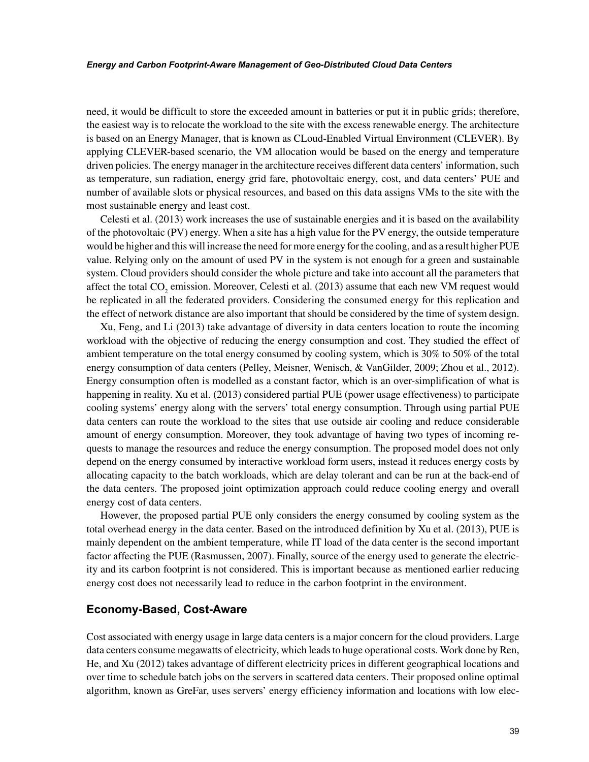need, it would be difficult to store the exceeded amount in batteries or put it in public grids; therefore, the easiest way is to relocate the workload to the site with the excess renewable energy. The architecture is based on an Energy Manager, that is known as CLoud-Enabled Virtual Environment (CLEVER). By applying CLEVER-based scenario, the VM allocation would be based on the energy and temperature driven policies. The energy manager in the architecture receives different data centers' information, such as temperature, sun radiation, energy grid fare, photovoltaic energy, cost, and data centers' PUE and number of available slots or physical resources, and based on this data assigns VMs to the site with the most sustainable energy and least cost.

Celesti et al. (2013) work increases the use of sustainable energies and it is based on the availability of the photovoltaic (PV) energy. When a site has a high value for the PV energy, the outside temperature would be higher and this will increase the need for more energy for the cooling, and as a result higher PUE value. Relying only on the amount of used PV in the system is not enough for a green and sustainable system. Cloud providers should consider the whole picture and take into account all the parameters that affect the total  $CO_2$  emission. Moreover, Celesti et al. (2013) assume that each new VM request would be replicated in all the federated providers. Considering the consumed energy for this replication and the effect of network distance are also important that should be considered by the time of system design.

Xu, Feng, and Li (2013) take advantage of diversity in data centers location to route the incoming workload with the objective of reducing the energy consumption and cost. They studied the effect of ambient temperature on the total energy consumed by cooling system, which is 30% to 50% of the total energy consumption of data centers (Pelley, Meisner, Wenisch, & VanGilder, 2009; Zhou et al., 2012). Energy consumption often is modelled as a constant factor, which is an over-simplification of what is happening in reality. Xu et al. (2013) considered partial PUE (power usage effectiveness) to participate cooling systems' energy along with the servers' total energy consumption. Through using partial PUE data centers can route the workload to the sites that use outside air cooling and reduce considerable amount of energy consumption. Moreover, they took advantage of having two types of incoming requests to manage the resources and reduce the energy consumption. The proposed model does not only depend on the energy consumed by interactive workload form users, instead it reduces energy costs by allocating capacity to the batch workloads, which are delay tolerant and can be run at the back-end of the data centers. The proposed joint optimization approach could reduce cooling energy and overall energy cost of data centers.

However, the proposed partial PUE only considers the energy consumed by cooling system as the total overhead energy in the data center. Based on the introduced definition by Xu et al. (2013), PUE is mainly dependent on the ambient temperature, while IT load of the data center is the second important factor affecting the PUE (Rasmussen, 2007). Finally, source of the energy used to generate the electricity and its carbon footprint is not considered. This is important because as mentioned earlier reducing energy cost does not necessarily lead to reduce in the carbon footprint in the environment.

## **Economy-Based, Cost-Aware**

Cost associated with energy usage in large data centers is a major concern for the cloud providers. Large data centers consume megawatts of electricity, which leads to huge operational costs. Work done by Ren, He, and Xu (2012) takes advantage of different electricity prices in different geographical locations and over time to schedule batch jobs on the servers in scattered data centers. Their proposed online optimal algorithm, known as GreFar, uses servers' energy efficiency information and locations with low elec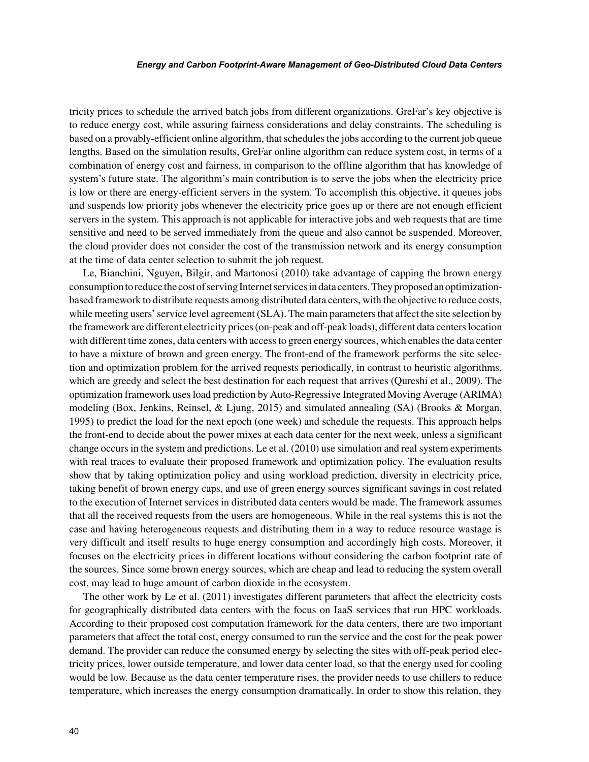tricity prices to schedule the arrived batch jobs from different organizations. GreFar's key objective is to reduce energy cost, while assuring fairness considerations and delay constraints. The scheduling is based on a provably-efficient online algorithm, that schedules the jobs according to the current job queue lengths. Based on the simulation results, GreFar online algorithm can reduce system cost, in terms of a combination of energy cost and fairness, in comparison to the offline algorithm that has knowledge of system's future state. The algorithm's main contribution is to serve the jobs when the electricity price is low or there are energy-efficient servers in the system. To accomplish this objective, it queues jobs and suspends low priority jobs whenever the electricity price goes up or there are not enough efficient servers in the system. This approach is not applicable for interactive jobs and web requests that are time sensitive and need to be served immediately from the queue and also cannot be suspended. Moreover, the cloud provider does not consider the cost of the transmission network and its energy consumption at the time of data center selection to submit the job request.

Le, Bianchini, Nguyen, Bilgir, and Martonosi (2010) take advantage of capping the brown energy consumption to reduce the cost of serving Internet services in data centers. They proposed an optimizationbased framework to distribute requests among distributed data centers, with the objective to reduce costs, while meeting users' service level agreement (SLA). The main parameters that affect the site selection by the framework are different electricity prices (on-peak and off-peak loads), different data centers location with different time zones, data centers with access to green energy sources, which enables the data center to have a mixture of brown and green energy. The front-end of the framework performs the site selection and optimization problem for the arrived requests periodically, in contrast to heuristic algorithms, which are greedy and select the best destination for each request that arrives (Qureshi et al., 2009). The optimization framework uses load prediction by Auto-Regressive Integrated Moving Average (ARIMA) modeling (Box, Jenkins, Reinsel, & Ljung, 2015) and simulated annealing (SA) (Brooks & Morgan, 1995) to predict the load for the next epoch (one week) and schedule the requests. This approach helps the front-end to decide about the power mixes at each data center for the next week, unless a significant change occurs in the system and predictions. Le et al. (2010) use simulation and real system experiments with real traces to evaluate their proposed framework and optimization policy. The evaluation results show that by taking optimization policy and using workload prediction, diversity in electricity price, taking benefit of brown energy caps, and use of green energy sources significant savings in cost related to the execution of Internet services in distributed data centers would be made. The framework assumes that all the received requests from the users are homogeneous. While in the real systems this is not the case and having heterogeneous requests and distributing them in a way to reduce resource wastage is very difficult and itself results to huge energy consumption and accordingly high costs. Moreover, it focuses on the electricity prices in different locations without considering the carbon footprint rate of the sources. Since some brown energy sources, which are cheap and lead to reducing the system overall cost, may lead to huge amount of carbon dioxide in the ecosystem.

The other work by Le et al. (2011) investigates different parameters that affect the electricity costs for geographically distributed data centers with the focus on IaaS services that run HPC workloads. According to their proposed cost computation framework for the data centers, there are two important parameters that affect the total cost, energy consumed to run the service and the cost for the peak power demand. The provider can reduce the consumed energy by selecting the sites with off-peak period electricity prices, lower outside temperature, and lower data center load, so that the energy used for cooling would be low. Because as the data center temperature rises, the provider needs to use chillers to reduce temperature, which increases the energy consumption dramatically. In order to show this relation, they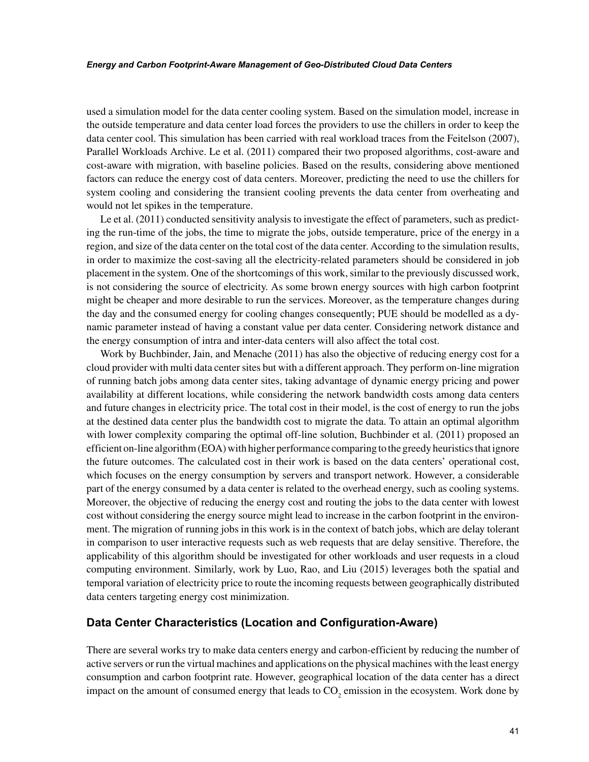used a simulation model for the data center cooling system. Based on the simulation model, increase in the outside temperature and data center load forces the providers to use the chillers in order to keep the data center cool. This simulation has been carried with real workload traces from the Feitelson (2007), Parallel Workloads Archive. Le et al. (2011) compared their two proposed algorithms, cost-aware and cost-aware with migration, with baseline policies. Based on the results, considering above mentioned factors can reduce the energy cost of data centers. Moreover, predicting the need to use the chillers for system cooling and considering the transient cooling prevents the data center from overheating and would not let spikes in the temperature.

Le et al. (2011) conducted sensitivity analysis to investigate the effect of parameters, such as predicting the run-time of the jobs, the time to migrate the jobs, outside temperature, price of the energy in a region, and size of the data center on the total cost of the data center. According to the simulation results, in order to maximize the cost-saving all the electricity-related parameters should be considered in job placement in the system. One of the shortcomings of this work, similar to the previously discussed work, is not considering the source of electricity. As some brown energy sources with high carbon footprint might be cheaper and more desirable to run the services. Moreover, as the temperature changes during the day and the consumed energy for cooling changes consequently; PUE should be modelled as a dynamic parameter instead of having a constant value per data center. Considering network distance and the energy consumption of intra and inter-data centers will also affect the total cost.

Work by Buchbinder, Jain, and Menache (2011) has also the objective of reducing energy cost for a cloud provider with multi data center sites but with a different approach. They perform on-line migration of running batch jobs among data center sites, taking advantage of dynamic energy pricing and power availability at different locations, while considering the network bandwidth costs among data centers and future changes in electricity price. The total cost in their model, is the cost of energy to run the jobs at the destined data center plus the bandwidth cost to migrate the data. To attain an optimal algorithm with lower complexity comparing the optimal off-line solution, Buchbinder et al. (2011) proposed an efficient on-line algorithm (EOA) with higher performance comparing to the greedy heuristics that ignore the future outcomes. The calculated cost in their work is based on the data centers' operational cost, which focuses on the energy consumption by servers and transport network. However, a considerable part of the energy consumed by a data center is related to the overhead energy, such as cooling systems. Moreover, the objective of reducing the energy cost and routing the jobs to the data center with lowest cost without considering the energy source might lead to increase in the carbon footprint in the environment. The migration of running jobs in this work is in the context of batch jobs, which are delay tolerant in comparison to user interactive requests such as web requests that are delay sensitive. Therefore, the applicability of this algorithm should be investigated for other workloads and user requests in a cloud computing environment. Similarly, work by Luo, Rao, and Liu (2015) leverages both the spatial and temporal variation of electricity price to route the incoming requests between geographically distributed data centers targeting energy cost minimization.

## **Data Center Characteristics (Location and Configuration-Aware)**

There are several works try to make data centers energy and carbon-efficient by reducing the number of active servers or run the virtual machines and applications on the physical machines with the least energy consumption and carbon footprint rate. However, geographical location of the data center has a direct impact on the amount of consumed energy that leads to  $CO_2$  emission in the ecosystem. Work done by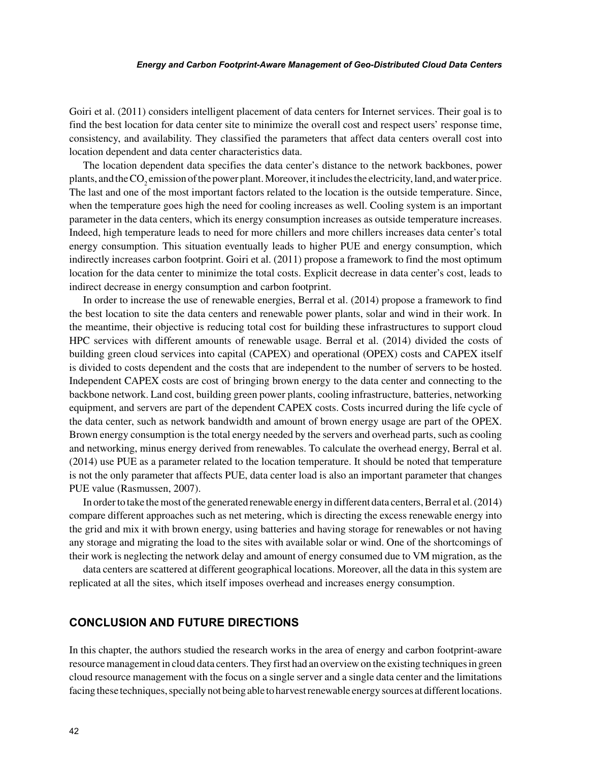Goiri et al. (2011) considers intelligent placement of data centers for Internet services. Their goal is to find the best location for data center site to minimize the overall cost and respect users' response time, consistency, and availability. They classified the parameters that affect data centers overall cost into location dependent and data center characteristics data.

The location dependent data specifies the data center's distance to the network backbones, power plants, and the  $\mathrm{CO}_2$  emission of the power plant. Moreover, it includes the electricity, land, and water price. The last and one of the most important factors related to the location is the outside temperature. Since, when the temperature goes high the need for cooling increases as well. Cooling system is an important parameter in the data centers, which its energy consumption increases as outside temperature increases. Indeed, high temperature leads to need for more chillers and more chillers increases data center's total energy consumption. This situation eventually leads to higher PUE and energy consumption, which indirectly increases carbon footprint. Goiri et al. (2011) propose a framework to find the most optimum location for the data center to minimize the total costs. Explicit decrease in data center's cost, leads to indirect decrease in energy consumption and carbon footprint.

In order to increase the use of renewable energies, Berral et al. (2014) propose a framework to find the best location to site the data centers and renewable power plants, solar and wind in their work. In the meantime, their objective is reducing total cost for building these infrastructures to support cloud HPC services with different amounts of renewable usage. Berral et al. (2014) divided the costs of building green cloud services into capital (CAPEX) and operational (OPEX) costs and CAPEX itself is divided to costs dependent and the costs that are independent to the number of servers to be hosted. Independent CAPEX costs are cost of bringing brown energy to the data center and connecting to the backbone network. Land cost, building green power plants, cooling infrastructure, batteries, networking equipment, and servers are part of the dependent CAPEX costs. Costs incurred during the life cycle of the data center, such as network bandwidth and amount of brown energy usage are part of the OPEX. Brown energy consumption is the total energy needed by the servers and overhead parts, such as cooling and networking, minus energy derived from renewables. To calculate the overhead energy, Berral et al. (2014) use PUE as a parameter related to the location temperature. It should be noted that temperature is not the only parameter that affects PUE, data center load is also an important parameter that changes PUE value (Rasmussen, 2007).

In order to take the most of the generated renewable energy in different data centers, Berral et al. (2014) compare different approaches such as net metering, which is directing the excess renewable energy into the grid and mix it with brown energy, using batteries and having storage for renewables or not having any storage and migrating the load to the sites with available solar or wind. One of the shortcomings of their work is neglecting the network delay and amount of energy consumed due to VM migration, as the

data centers are scattered at different geographical locations. Moreover, all the data in this system are replicated at all the sites, which itself imposes overhead and increases energy consumption.

## **CONCLUSION AND FUTURE DIRECTIONS**

In this chapter, the authors studied the research works in the area of energy and carbon footprint-aware resource management in cloud data centers. They first had an overview on the existing techniques in green cloud resource management with the focus on a single server and a single data center and the limitations facing these techniques, specially not being able to harvest renewable energy sources at different locations.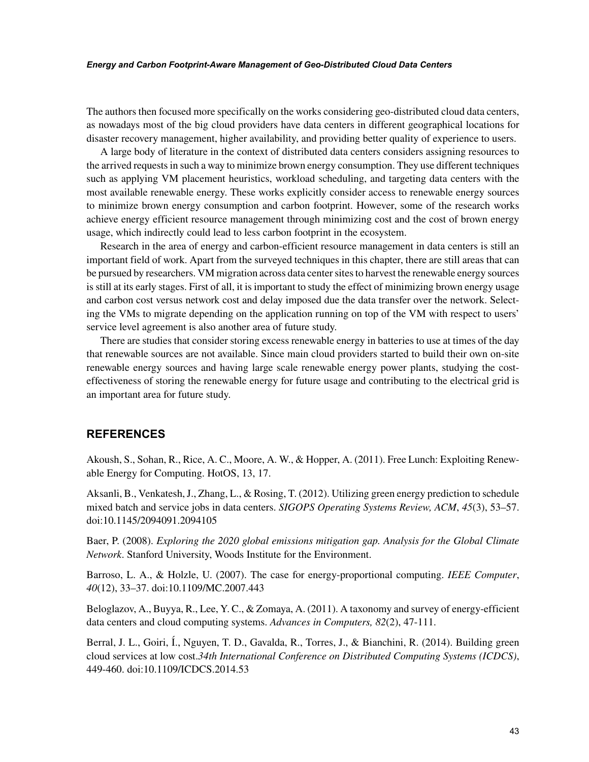The authors then focused more specifically on the works considering geo-distributed cloud data centers, as nowadays most of the big cloud providers have data centers in different geographical locations for disaster recovery management, higher availability, and providing better quality of experience to users.

A large body of literature in the context of distributed data centers considers assigning resources to the arrived requests in such a way to minimize brown energy consumption. They use different techniques such as applying VM placement heuristics, workload scheduling, and targeting data centers with the most available renewable energy. These works explicitly consider access to renewable energy sources to minimize brown energy consumption and carbon footprint. However, some of the research works achieve energy efficient resource management through minimizing cost and the cost of brown energy usage, which indirectly could lead to less carbon footprint in the ecosystem.

Research in the area of energy and carbon-efficient resource management in data centers is still an important field of work. Apart from the surveyed techniques in this chapter, there are still areas that can be pursued by researchers. VM migration across data center sites to harvest the renewable energy sources is still at its early stages. First of all, it is important to study the effect of minimizing brown energy usage and carbon cost versus network cost and delay imposed due the data transfer over the network. Selecting the VMs to migrate depending on the application running on top of the VM with respect to users' service level agreement is also another area of future study.

There are studies that consider storing excess renewable energy in batteries to use at times of the day that renewable sources are not available. Since main cloud providers started to build their own on-site renewable energy sources and having large scale renewable energy power plants, studying the costeffectiveness of storing the renewable energy for future usage and contributing to the electrical grid is an important area for future study.

# **REFERENCES**

Akoush, S., Sohan, R., Rice, A. C., Moore, A. W., & Hopper, A. (2011). Free Lunch: Exploiting Renewable Energy for Computing. HotOS, 13, 17.

Aksanli, B., Venkatesh, J., Zhang, L., & Rosing, T. (2012). Utilizing green energy prediction to schedule mixed batch and service jobs in data centers. *SIGOPS Operating Systems Review, ACM*, *45*(3), 53–57. doi[:10.1145/2094091.2094105](http://dx.doi.org/10.1145/2094091.2094105)

Baer, P. (2008). *Exploring the 2020 global emissions mitigation gap. Analysis for the Global Climate Network*. Stanford University, Woods Institute for the Environment.

Barroso, L. A., & Holzle, U. (2007). The case for energy-proportional computing. *IEEE Computer*, *40*(12), 33–37. doi:[10.1109/MC.2007.443](http://dx.doi.org/10.1109/MC.2007.443)

Beloglazov, A., Buyya, R., Lee, Y. C., & Zomaya, A. (2011). A taxonomy and survey of energy-efficient data centers and cloud computing systems. *Advances in Computers, 82*(2), 47-111.

Berral, J. L., Goiri, Í., Nguyen, T. D., Gavalda, R., Torres, J., & Bianchini, R. (2014). Building green cloud services at low cost.*34th International Conference on Distributed Computing Systems (ICDCS)*, 449-460. doi[:10.1109/ICDCS.2014.53](http://dx.doi.org/10.1109/ICDCS.2014.53)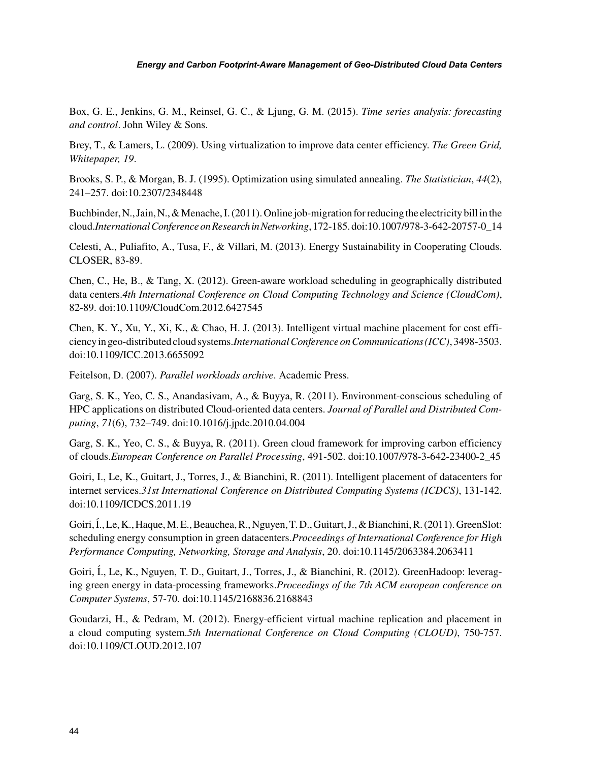Box, G. E., Jenkins, G. M., Reinsel, G. C., & Ljung, G. M. (2015). *Time series analysis: forecasting and control*. John Wiley & Sons.

Brey, T., & Lamers, L. (2009). Using virtualization to improve data center efficiency. *The Green Grid, Whitepaper, 19*.

Brooks, S. P., & Morgan, B. J. (1995). Optimization using simulated annealing. *The Statistician*, *44*(2), 241–257. doi[:10.2307/2348448](http://dx.doi.org/10.2307/2348448)

Buchbinder, N., Jain, N., & Menache, I. (2011). Online job-migration for reducing the electricity bill in the cloud.*International Conference on Research in Networking*, 172-185. doi[:10.1007/978-3-642-20757-0\\_14](http://dx.doi.org/10.1007/978-3-642-20757-0_14)

Celesti, A., Puliafito, A., Tusa, F., & Villari, M. (2013). Energy Sustainability in Cooperating Clouds. CLOSER, 83-89.

Chen, C., He, B., & Tang, X. (2012). Green-aware workload scheduling in geographically distributed data centers.*4th International Conference on Cloud Computing Technology and Science (CloudCom)*, 82-89. doi[:10.1109/CloudCom.2012.6427545](http://dx.doi.org/10.1109/CloudCom.2012.6427545)

Chen, K. Y., Xu, Y., Xi, K., & Chao, H. J. (2013). Intelligent virtual machine placement for cost efficiency in geo-distributed cloud systems.*International Conference on Communications (ICC)*, 3498-3503. doi[:10.1109/ICC.2013.6655092](http://dx.doi.org/10.1109/ICC.2013.6655092)

Feitelson, D. (2007). *Parallel workloads archive*. Academic Press.

Garg, S. K., Yeo, C. S., Anandasivam, A., & Buyya, R. (2011). Environment-conscious scheduling of HPC applications on distributed Cloud-oriented data centers. *Journal of Parallel and Distributed Computing*, *71*(6), 732–749. doi[:10.1016/j.jpdc.2010.04.004](http://dx.doi.org/10.1016/j.jpdc.2010.04.004)

Garg, S. K., Yeo, C. S., & Buyya, R. (2011). Green cloud framework for improving carbon efficiency of clouds.*European Conference on Parallel Processing*, 491-502. doi[:10.1007/978-3-642-23400-2\\_45](http://dx.doi.org/10.1007/978-3-642-23400-2_45)

Goiri, I., Le, K., Guitart, J., Torres, J., & Bianchini, R. (2011). Intelligent placement of datacenters for internet services.*31st International Conference on Distributed Computing Systems (ICDCS)*, 131-142. doi[:10.1109/ICDCS.2011.19](http://dx.doi.org/10.1109/ICDCS.2011.19)

Goiri, Í., Le, K., Haque, M. E., Beauchea, R., Nguyen, T. D., Guitart, J., & Bianchini, R. (2011). GreenSlot: scheduling energy consumption in green datacenters.*Proceedings of International Conference for High Performance Computing, Networking, Storage and Analysis*, 20. doi[:10.1145/2063384.2063411](http://dx.doi.org/10.1145/2063384.2063411)

Goiri, Í., Le, K., Nguyen, T. D., Guitart, J., Torres, J., & Bianchini, R. (2012). GreenHadoop: leveraging green energy in data-processing frameworks.*Proceedings of the 7th ACM european conference on Computer Systems*, 57-70. doi[:10.1145/2168836.2168843](http://dx.doi.org/10.1145/2168836.2168843)

Goudarzi, H., & Pedram, M. (2012). Energy-efficient virtual machine replication and placement in a cloud computing system.*5th International Conference on Cloud Computing (CLOUD)*, 750-757. doi[:10.1109/CLOUD.2012.107](http://dx.doi.org/10.1109/CLOUD.2012.107)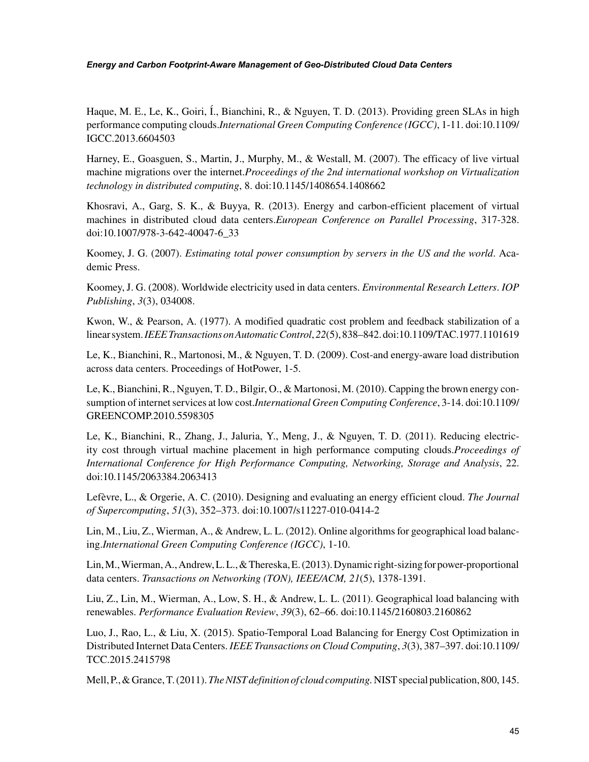Haque, M. E., Le, K., Goiri, Í., Bianchini, R., & Nguyen, T. D. (2013). Providing green SLAs in high performance computing clouds.*International Green Computing Conference (IGCC)*, 1-11. doi[:10.1109/](http://dx.doi.org/10.1109/IGCC.2013.6604503) [IGCC.2013.6604503](http://dx.doi.org/10.1109/IGCC.2013.6604503)

Harney, E., Goasguen, S., Martin, J., Murphy, M., & Westall, M. (2007). The efficacy of live virtual machine migrations over the internet.*Proceedings of the 2nd international workshop on Virtualization technology in distributed computing*, 8. doi[:10.1145/1408654.1408662](http://dx.doi.org/10.1145/1408654.1408662)

Khosravi, A., Garg, S. K., & Buyya, R. (2013). Energy and carbon-efficient placement of virtual machines in distributed cloud data centers.*European Conference on Parallel Processing*, 317-328. doi[:10.1007/978-3-642-40047-6\\_33](http://dx.doi.org/10.1007/978-3-642-40047-6_33)

Koomey, J. G. (2007). *Estimating total power consumption by servers in the US and the world*. Academic Press.

Koomey, J. G. (2008). Worldwide electricity used in data centers. *Environmental Research Letters*. *IOP Publishing*, *3*(3), 034008.

Kwon, W., & Pearson, A. (1977). A modified quadratic cost problem and feedback stabilization of a linear system. *IEEE Transactions on Automatic Control*, *22*(5), 838–842. doi[:10.1109/TAC.1977.1101619](http://dx.doi.org/10.1109/TAC.1977.1101619)

Le, K., Bianchini, R., Martonosi, M., & Nguyen, T. D. (2009). Cost-and energy-aware load distribution across data centers. Proceedings of HotPower, 1-5.

Le, K., Bianchini, R., Nguyen, T. D., Bilgir, O., & Martonosi, M. (2010). Capping the brown energy consumption of internet services at low cost.*International Green Computing Conference*, 3-14. doi[:10.1109/](http://dx.doi.org/10.1109/GREENCOMP.2010.5598305) [GREENCOMP.2010.5598305](http://dx.doi.org/10.1109/GREENCOMP.2010.5598305)

Le, K., Bianchini, R., Zhang, J., Jaluria, Y., Meng, J., & Nguyen, T. D. (2011). Reducing electricity cost through virtual machine placement in high performance computing clouds.*Proceedings of International Conference for High Performance Computing, Networking, Storage and Analysis*, 22. doi[:10.1145/2063384.2063413](http://dx.doi.org/10.1145/2063384.2063413)

Lefèvre, L., & Orgerie, A. C. (2010). Designing and evaluating an energy efficient cloud. *The Journal of Supercomputing*, *51*(3), 352–373. doi[:10.1007/s11227-010-0414-2](http://dx.doi.org/10.1007/s11227-010-0414-2)

Lin, M., Liu, Z., Wierman, A., & Andrew, L. L. (2012). Online algorithms for geographical load balancing.*International Green Computing Conference (IGCC)*, 1-10.

Lin, M., Wierman, A., Andrew, L. L., & Thereska, E. (2013). Dynamic right-sizing for power-proportional data centers. *Transactions on Networking (TON), IEEE/ACM, 21*(5), 1378-1391.

Liu, Z., Lin, M., Wierman, A., Low, S. H., & Andrew, L. L. (2011). Geographical load balancing with renewables. *Performance Evaluation Review*, *39*(3), 62–66. doi:[10.1145/2160803.2160862](http://dx.doi.org/10.1145/2160803.2160862)

Luo, J., Rao, L., & Liu, X. (2015). Spatio-Temporal Load Balancing for Energy Cost Optimization in Distributed Internet Data Centers. *IEEE Transactions on Cloud Computing*, *3*(3), 387–397. doi[:10.1109/](http://dx.doi.org/10.1109/TCC.2015.2415798) [TCC.2015.2415798](http://dx.doi.org/10.1109/TCC.2015.2415798)

Mell, P., & Grance, T. (2011). *The NIST definition of cloud computing.* NIST special publication, 800, 145.